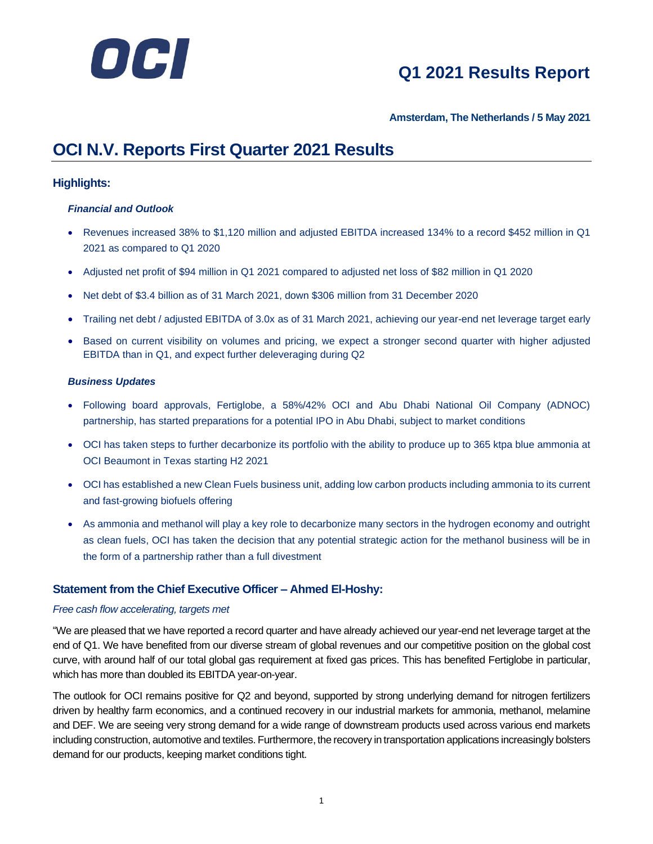

**Amsterdam, The Netherlands / 5 May 2021**

### **OCI N.V. Reports First Quarter 2021 Results**

#### **Highlights:**

#### *Financial and Outlook*

- Revenues increased 38% to \$1,120 million and adjusted EBITDA increased 134% to a record \$452 million in Q1 2021 as compared to Q1 2020
- Adjusted net profit of \$94 million in Q1 2021 compared to adjusted net loss of \$82 million in Q1 2020
- Net debt of \$3.4 billion as of 31 March 2021, down \$306 million from 31 December 2020
- Trailing net debt / adjusted EBITDA of 3.0x as of 31 March 2021, achieving our year-end net leverage target early
- Based on current visibility on volumes and pricing, we expect a stronger second quarter with higher adjusted EBITDA than in Q1, and expect further deleveraging during Q2

#### *Business Updates*

- Following board approvals, Fertiglobe, a 58%/42% OCI and Abu Dhabi National Oil Company (ADNOC) partnership, has started preparations for a potential IPO in Abu Dhabi, subject to market conditions
- OCI has taken steps to further decarbonize its portfolio with the ability to produce up to 365 ktpa blue ammonia at OCI Beaumont in Texas starting H2 2021
- OCI has established a new Clean Fuels business unit, adding low carbon products including ammonia to its current and fast-growing biofuels offering
- As ammonia and methanol will play a key role to decarbonize many sectors in the hydrogen economy and outright as clean fuels, OCI has taken the decision that any potential strategic action for the methanol business will be in the form of a partnership rather than a full divestment

#### **Statement from the Chief Executive Officer – Ahmed El-Hoshy:**

#### *Free cash flow accelerating, targets met*

"We are pleased that we have reported a record quarter and have already achieved our year-end net leverage target at the end of Q1. We have benefited from our diverse stream of global revenues and our competitive position on the global cost curve, with around half of our total global gas requirement at fixed gas prices. This has benefited Fertiglobe in particular, which has more than doubled its EBITDA year-on-year.

The outlook for OCI remains positive for Q2 and beyond, supported by strong underlying demand for nitrogen fertilizers driven by healthy farm economics, and a continued recovery in our industrial markets for ammonia, methanol, melamine and DEF. We are seeing very strong demand for a wide range of downstream products used across various end markets including construction, automotive and textiles. Furthermore, the recovery in transportation applications increasingly bolsters demand for our products, keeping market conditions tight.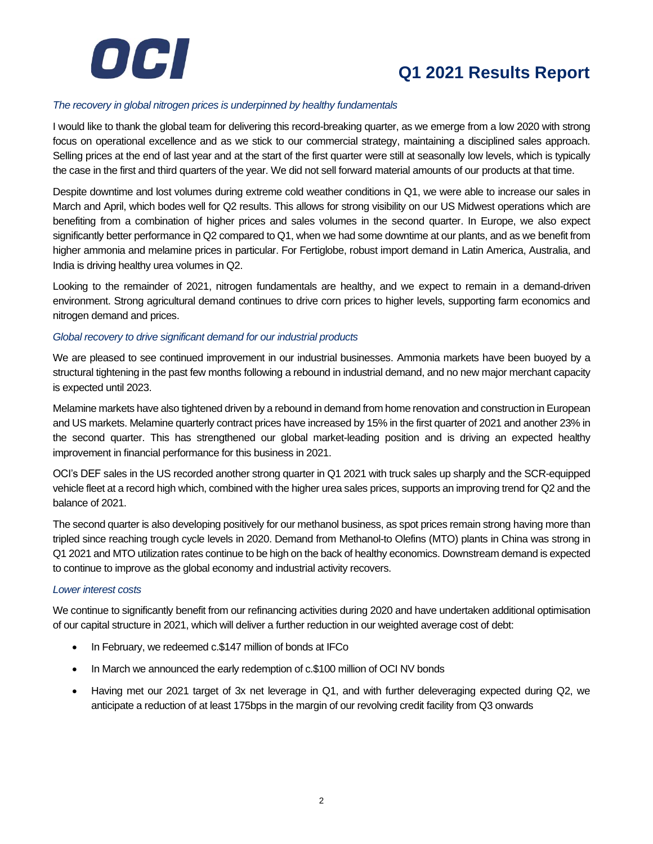

#### *The recovery in global nitrogen prices is underpinned by healthy fundamentals*

I would like to thank the global team for delivering this record-breaking quarter, as we emerge from a low 2020 with strong focus on operational excellence and as we stick to our commercial strategy, maintaining a disciplined sales approach. Selling prices at the end of last year and at the start of the first quarter were still at seasonally low levels, which is typically the case in the first and third quarters of the year. We did not sell forward material amounts of our products at that time.

Despite downtime and lost volumes during extreme cold weather conditions in Q1, we were able to increase our sales in March and April, which bodes well for Q2 results. This allows for strong visibility on our US Midwest operations which are benefiting from a combination of higher prices and sales volumes in the second quarter. In Europe, we also expect significantly better performance in Q2 compared to Q1, when we had some downtime at our plants, and as we benefit from higher ammonia and melamine prices in particular. For Fertiglobe, robust import demand in Latin America, Australia, and India is driving healthy urea volumes in Q2.

Looking to the remainder of 2021, nitrogen fundamentals are healthy, and we expect to remain in a demand-driven environment. Strong agricultural demand continues to drive corn prices to higher levels, supporting farm economics and nitrogen demand and prices.

#### *Global recovery to drive significant demand for our industrial products*

We are pleased to see continued improvement in our industrial businesses. Ammonia markets have been buoyed by a structural tightening in the past few months following a rebound in industrial demand, and no new major merchant capacity is expected until 2023.

Melamine markets have also tightened driven by a rebound in demand from home renovation and construction in European and US markets. Melamine quarterly contract prices have increased by 15% in the first quarter of 2021 and another 23% in the second quarter. This has strengthened our global market-leading position and is driving an expected healthy improvement in financial performance for this business in 2021.

OCI's DEF sales in the US recorded another strong quarter in Q1 2021 with truck sales up sharply and the SCR-equipped vehicle fleet at a record high which, combined with the higher urea sales prices, supports an improving trend for Q2 and the balance of 2021.

The second quarter is also developing positively for our methanol business, as spot prices remain strong having more than tripled since reaching trough cycle levels in 2020. Demand from Methanol-to Olefins (MTO) plants in China was strong in Q1 2021 and MTO utilization rates continue to be high on the back of healthy economics. Downstream demand is expected to continue to improve as the global economy and industrial activity recovers.

#### *Lower interest costs*

We continue to significantly benefit from our refinancing activities during 2020 and have undertaken additional optimisation of our capital structure in 2021, which will deliver a further reduction in our weighted average cost of debt:

- In February, we redeemed c.\$147 million of bonds at IFCo
- In March we announced the early redemption of c.\$100 million of OCI NV bonds
- Having met our 2021 target of 3x net leverage in Q1, and with further deleveraging expected during Q2, we anticipate a reduction of at least 175bps in the margin of our revolving credit facility from Q3 onwards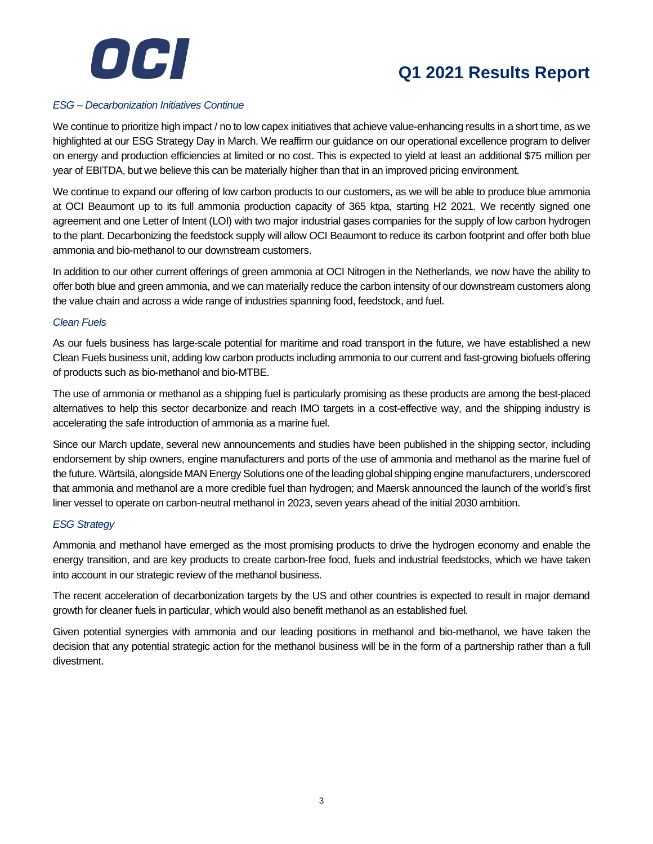

#### *ESG – Decarbonization Initiatives Continue*

We continue to prioritize high impact / no to low capex initiatives that achieve value-enhancing results in a short time, as we highlighted at our ESG Strategy Day in March. We reaffirm our guidance on our operational excellence program to deliver on energy and production efficiencies at limited or no cost. This is expected to yield at least an additional \$75 million per year of EBITDA, but we believe this can be materially higher than that in an improved pricing environment.

We continue to expand our offering of low carbon products to our customers, as we will be able to produce blue ammonia at OCI Beaumont up to its full ammonia production capacity of 365 ktpa, starting H2 2021. We recently signed one agreement and one Letter of Intent (LOI) with two major industrial gases companies for the supply of low carbon hydrogen to the plant. Decarbonizing the feedstock supply will allow OCI Beaumont to reduce its carbon footprint and offer both blue ammonia and bio-methanol to our downstream customers.

In addition to our other current offerings of green ammonia at OCI Nitrogen in the Netherlands, we now have the ability to offer both blue and green ammonia, and we can materially reduce the carbon intensity of our downstream customers along the value chain and across a wide range of industries spanning food, feedstock, and fuel.

#### *Clean Fuels*

As our fuels business has large-scale potential for maritime and road transport in the future, we have established a new Clean Fuels business unit, adding low carbon products including ammonia to our current and fast-growing biofuels offering of products such as bio-methanol and bio-MTBE.

The use of ammonia or methanol as a shipping fuel is particularly promising as these products are among the best-placed alternatives to help this sector decarbonize and reach IMO targets in a cost-effective way, and the shipping industry is accelerating the safe introduction of ammonia as a marine fuel.

Since our March update, several new announcements and studies have been published in the shipping sector, including endorsement by ship owners, engine manufacturers and ports of the use of ammonia and methanol as the marine fuel of the future. Wärtsilä, alongside MAN Energy Solutions one of the leading global shipping engine manufacturers, underscored that ammonia and methanol are a more credible fuel than hydrogen; and Maersk announced the launch of the world's first liner vessel to operate on carbon-neutral methanol in 2023, seven years ahead of the initial 2030 ambition.

#### *ESG Strategy*

Ammonia and methanol have emerged as the most promising products to drive the hydrogen economy and enable the energy transition, and are key products to create carbon-free food, fuels and industrial feedstocks, which we have taken into account in our strategic review of the methanol business.

The recent acceleration of decarbonization targets by the US and other countries is expected to result in major demand growth for cleaner fuels in particular, which would also benefit methanol as an established fuel.

Given potential synergies with ammonia and our leading positions in methanol and bio-methanol, we have taken the decision that any potential strategic action for the methanol business will be in the form of a partnership rather than a full divestment.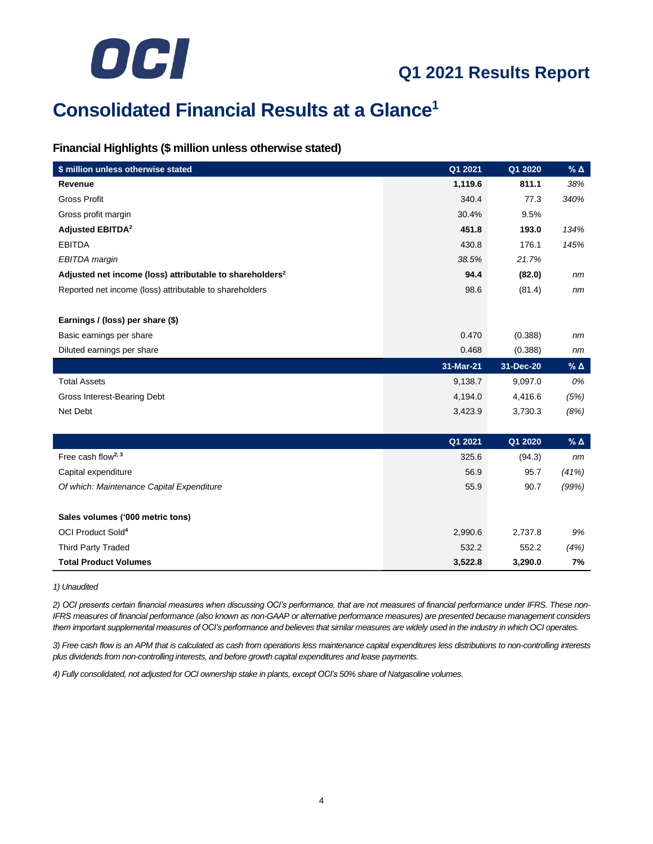

## **Consolidated Financial Results at a Glance<sup>1</sup>**

#### **Financial Highlights (\$ million unless otherwise stated)**

| \$ million unless otherwise stated                                   | Q1 2021   | Q1 2020   | $%$ $\triangle$ |
|----------------------------------------------------------------------|-----------|-----------|-----------------|
| Revenue                                                              | 1,119.6   | 811.1     | 38%             |
| <b>Gross Profit</b>                                                  | 340.4     | 77.3      | 340%            |
| Gross profit margin                                                  | 30.4%     | 9.5%      |                 |
| <b>Adjusted EBITDA<sup>2</sup></b>                                   | 451.8     | 193.0     | 134%            |
| <b>EBITDA</b>                                                        | 430.8     | 176.1     | 145%            |
| EBITDA margin                                                        | 38.5%     | 21.7%     |                 |
| Adjusted net income (loss) attributable to shareholders <sup>2</sup> | 94.4      | (82.0)    | nm              |
| Reported net income (loss) attributable to shareholders              | 98.6      | (81.4)    | nm              |
|                                                                      |           |           |                 |
| Earnings / (loss) per share (\$)                                     |           |           |                 |
| Basic earnings per share                                             | 0.470     | (0.388)   | nm              |
| Diluted earnings per share                                           | 0.468     | (0.388)   | nm              |
|                                                                      | 31-Mar-21 | 31-Dec-20 | $%$ $\triangle$ |
| <b>Total Assets</b>                                                  | 9,138.7   | 9,097.0   | 0%              |
| Gross Interest-Bearing Debt                                          | 4,194.0   | 4,416.6   | (5%)            |
| Net Debt                                                             | 3,423.9   | 3,730.3   | (8%)            |
|                                                                      |           |           |                 |
|                                                                      | Q1 2021   | Q1 2020   | $%$ $\triangle$ |
| Free cash flow <sup>2, 3</sup>                                       | 325.6     | (94.3)    | nm              |
| Capital expenditure                                                  | 56.9      | 95.7      | (41%)           |
| Of which: Maintenance Capital Expenditure                            | 55.9      | 90.7      | (99%)           |
|                                                                      |           |           |                 |
| Sales volumes ('000 metric tons)                                     |           |           |                 |
| OCI Product Sold <sup>4</sup>                                        | 2,990.6   | 2,737.8   | 9%              |
| <b>Third Party Traded</b>                                            | 532.2     | 552.2     | (4%)            |
| <b>Total Product Volumes</b>                                         | 3,522.8   | 3,290.0   | 7%              |

*1) Unaudited*

*2) OCI presents certain financial measures when discussing OCI's performance, that are not measures of financial performance under IFRS. These non-IFRS measures of financial performance (also known as non-GAAP or alternative performance measures) are presented because management considers them important supplemental measures of OCI's performance and believes that similar measures are widely used in the industry in which OCI operates.*

*3) Free cash flow is an APM that is calculated as cash from operations less maintenance capital expenditures less distributions to non-controlling interests plus dividends from non-controlling interests, and before growth capital expenditures and lease payments.*

*4) Fully consolidated, not adjusted for OCI ownership stake in plants, except OCI's 50% share of Natgasoline volumes.*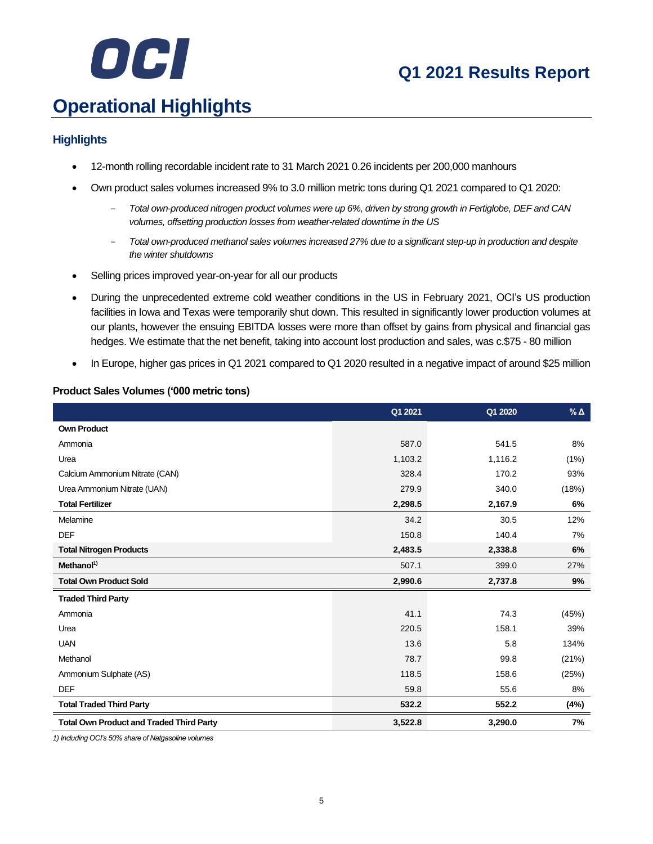

## **Operational Highlights**

#### **Highlights**

- 12-month rolling recordable incident rate to 31 March 2021 0.26 incidents per 200,000 manhours
- Own product sales volumes increased 9% to 3.0 million metric tons during Q1 2021 compared to Q1 2020:
	- *Total own-produced nitrogen product volumes were up 6%, driven by strong growth in Fertiglobe, DEF and CAN volumes, offsetting production losses from weather-related downtime in the US*
	- *Total own-produced methanol sales volumes increased 27% due to a significant step-up in production and despite the winter shutdowns*
- Selling prices improved year-on-year for all our products
- During the unprecedented extreme cold weather conditions in the US in February 2021, OCI's US production facilities in Iowa and Texas were temporarily shut down. This resulted in significantly lower production volumes at our plants, however the ensuing EBITDA losses were more than offset by gains from physical and financial gas hedges. We estimate that the net benefit, taking into account lost production and sales, was c.\$75 - 80 million
- In Europe, higher gas prices in Q1 2021 compared to Q1 2020 resulted in a negative impact of around \$25 million

#### **Product Sales Volumes ('000 metric tons)**

|                                                 | Q1 2021 | Q1 2020 | $\%$ $\Delta$ |
|-------------------------------------------------|---------|---------|---------------|
| <b>Own Product</b>                              |         |         |               |
| Ammonia                                         | 587.0   | 541.5   | 8%            |
| Urea                                            | 1,103.2 | 1,116.2 | (1%)          |
| Calcium Ammonium Nitrate (CAN)                  | 328.4   | 170.2   | 93%           |
| Urea Ammonium Nitrate (UAN)                     | 279.9   | 340.0   | (18%)         |
| <b>Total Fertilizer</b>                         | 2,298.5 | 2,167.9 | 6%            |
| Melamine                                        | 34.2    | 30.5    | 12%           |
| <b>DEF</b>                                      | 150.8   | 140.4   | 7%            |
| <b>Total Nitrogen Products</b>                  | 2,483.5 | 2,338.8 | 6%            |
| Methanol <sup>1)</sup>                          | 507.1   | 399.0   | 27%           |
| <b>Total Own Product Sold</b>                   | 2,990.6 | 2,737.8 | 9%            |
| <b>Traded Third Party</b>                       |         |         |               |
| Ammonia                                         | 41.1    | 74.3    | (45%)         |
| Urea                                            | 220.5   | 158.1   | 39%           |
| <b>UAN</b>                                      | 13.6    | 5.8     | 134%          |
| Methanol                                        | 78.7    | 99.8    | (21%)         |
| Ammonium Sulphate (AS)                          | 118.5   | 158.6   | (25%)         |
| <b>DEF</b>                                      | 59.8    | 55.6    | 8%            |
| <b>Total Traded Third Party</b>                 | 532.2   | 552.2   | (4%)          |
| <b>Total Own Product and Traded Third Party</b> | 3,522.8 | 3,290.0 | 7%            |

*1) Including OCI's 50% share of Natgasoline volumes*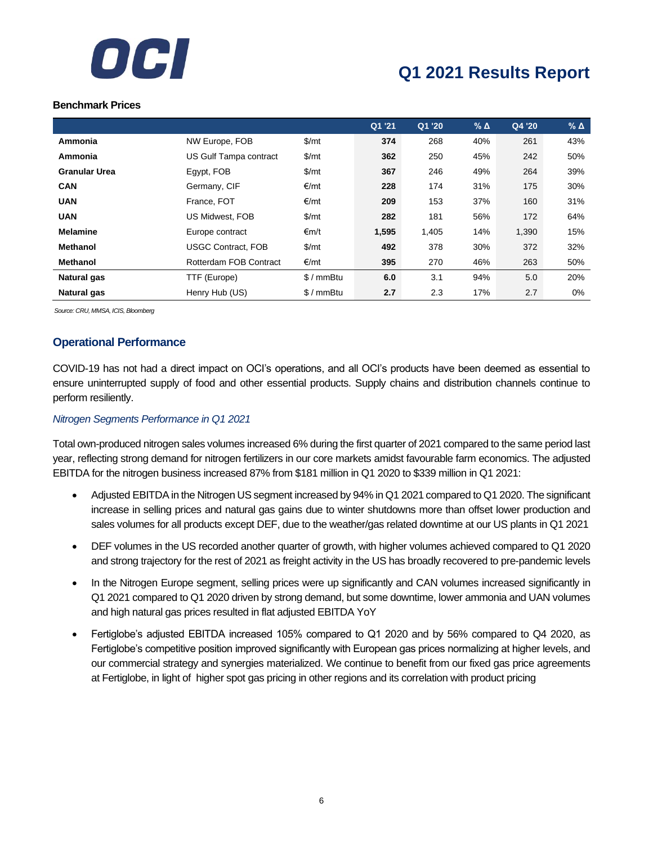

#### **Benchmark Prices**

|                      |                           |               | Q1 '21 | Q1 '20 | $%$ $\triangle$ | Q4 '20 | $%$ $\triangle$ |
|----------------------|---------------------------|---------------|--------|--------|-----------------|--------|-----------------|
| Ammonia              | NW Europe, FOB            | \$/mt         | 374    | 268    | 40%             | 261    | 43%             |
| Ammonia              | US Gulf Tampa contract    | \$/mt         | 362    | 250    | 45%             | 242    | 50%             |
| <b>Granular Urea</b> | Egypt, FOB                | $\frac{m}{2}$ | 367    | 246    | 49%             | 264    | 39%             |
| <b>CAN</b>           | Germany, CIF              | €/mt          | 228    | 174    | 31%             | 175    | 30%             |
| <b>UAN</b>           | France, FOT               | €/mt          | 209    | 153    | 37%             | 160    | 31%             |
| <b>UAN</b>           | US Midwest, FOB           | \$/mt         | 282    | 181    | 56%             | 172    | 64%             |
| <b>Melamine</b>      | Europe contract           | ∈m/t          | 1,595  | 1,405  | 14%             | 1,390  | 15%             |
| <b>Methanol</b>      | <b>USGC Contract, FOB</b> | $\frac{m}{2}$ | 492    | 378    | 30%             | 372    | 32%             |
| <b>Methanol</b>      | Rotterdam FOB Contract    | €/mt          | 395    | 270    | 46%             | 263    | 50%             |
| <b>Natural gas</b>   | TTF (Europe)              | $$/mmB$ tu    | 6.0    | 3.1    | 94%             | 5.0    | 20%             |
| <b>Natural gas</b>   | Henry Hub (US)            | $$/mmB$ tu    | 2.7    | 2.3    | 17%             | 2.7    | 0%              |

*Source: CRU, MMSA, ICIS, Bloomberg*

#### **Operational Performance**

COVID-19 has not had a direct impact on OCI's operations, and all OCI's products have been deemed as essential to ensure uninterrupted supply of food and other essential products. Supply chains and distribution channels continue to perform resiliently.

#### *Nitrogen Segments Performance in Q1 2021*

Total own-produced nitrogen sales volumes increased 6% during the first quarter of 2021 compared to the same period last year, reflecting strong demand for nitrogen fertilizers in our core markets amidst favourable farm economics. The adjusted EBITDA for the nitrogen business increased 87% from \$181 million in Q1 2020 to \$339 million in Q1 2021:

- Adjusted EBITDA in the Nitrogen US segment increased by 94% in Q1 2021 compared to Q1 2020. The significant increase in selling prices and natural gas gains due to winter shutdowns more than offset lower production and sales volumes for all products except DEF, due to the weather/gas related downtime at our US plants in Q1 2021
- DEF volumes in the US recorded another quarter of growth, with higher volumes achieved compared to Q1 2020 and strong trajectory for the rest of 2021 as freight activity in the US has broadly recovered to pre-pandemic levels
- In the Nitrogen Europe segment, selling prices were up significantly and CAN volumes increased significantly in Q1 2021 compared to Q1 2020 driven by strong demand, but some downtime, lower ammonia and UAN volumes and high natural gas prices resulted in flat adjusted EBITDA YoY
- Fertiglobe's adjusted EBITDA increased 105% compared to Q1 2020 and by 56% compared to Q4 2020, as Fertiglobe's competitive position improved significantly with European gas prices normalizing at higher levels, and our commercial strategy and synergies materialized. We continue to benefit from our fixed gas price agreements at Fertiglobe, in light of higher spot gas pricing in other regions and its correlation with product pricing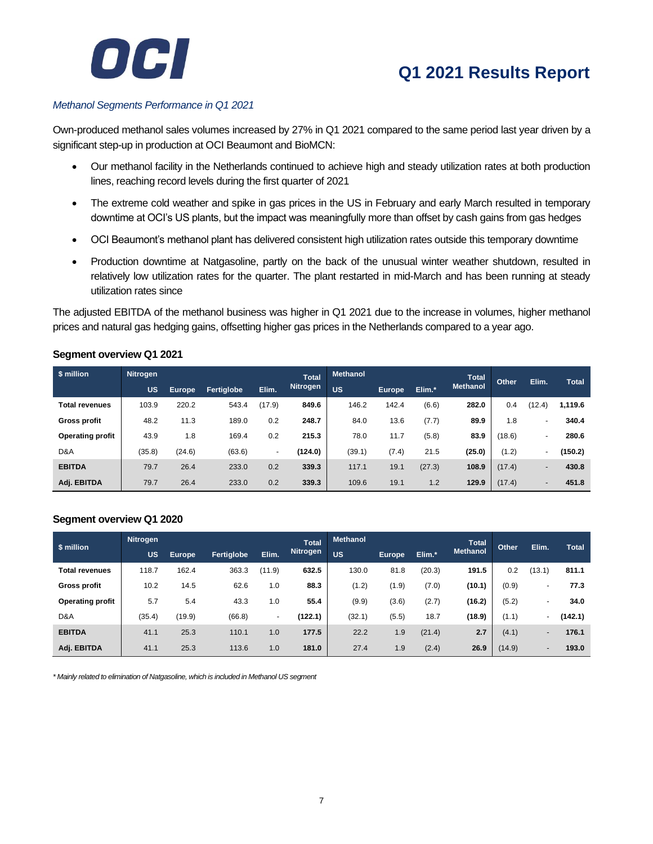

#### *Methanol Segments Performance in Q1 2021*

Own-produced methanol sales volumes increased by 27% in Q1 2021 compared to the same period last year driven by a significant step-up in production at OCI Beaumont and BioMCN:

- Our methanol facility in the Netherlands continued to achieve high and steady utilization rates at both production lines, reaching record levels during the first quarter of 2021
- The extreme cold weather and spike in gas prices in the US in February and early March resulted in temporary downtime at OCI's US plants, but the impact was meaningfully more than offset by cash gains from gas hedges
- OCI Beaumont's methanol plant has delivered consistent high utilization rates outside this temporary downtime
- Production downtime at Natgasoline, partly on the back of the unusual winter weather shutdown, resulted in relatively low utilization rates for the quarter. The plant restarted in mid-March and has been running at steady utilization rates since

The adjusted EBITDA of the methanol business was higher in Q1 2021 due to the increase in volumes, higher methanol prices and natural gas hedging gains, offsetting higher gas prices in the Netherlands compared to a year ago.

#### **Segment overview Q1 2021**

| \$ million              | <b>Nitrogen</b> |        |            |        | <b>Total</b>    | <b>Methanol</b> |        |        | <b>Total</b>    | Other  | Elim.                    | <b>Total</b> |
|-------------------------|-----------------|--------|------------|--------|-----------------|-----------------|--------|--------|-----------------|--------|--------------------------|--------------|
|                         | <b>US</b>       | Europe | Fertiglobe | Elim.  | <b>Nitrogen</b> | <b>US</b>       | Europe | Elim.* | <b>Methanol</b> |        |                          |              |
| Total revenues          | 103.9           | 220.2  | 543.4      | (17.9) | 849.6           | 146.2           | 142.4  | (6.6)  | 282.0           | 0.4    | (12.4)                   | 1,119.6      |
| Gross profit            | 48.2            | 11.3   | 189.0      | 0.2    | 248.7           | 84.0            | 13.6   | (7.7)  | 89.9            | 1.8    | $\overline{\phantom{0}}$ | 340.4        |
| <b>Operating profit</b> | 43.9            | 1.8    | 169.4      | 0.2    | 215.3           | 78.0            | 11.7   | (5.8)  | 83.9            | (18.6) | $\overline{a}$           | 280.6        |
| D&A                     | (35.8)          | (24.6) | (63.6)     | ۰      | (124.0)         | (39.1)          | (7.4)  | 21.5   | (25.0)          | (1.2)  | $\overline{\phantom{0}}$ | (150.2)      |
| <b>EBITDA</b>           | 79.7            | 26.4   | 233.0      | 0.2    | 339.3           | 117.1           | 19.1   | (27.3) | 108.9           | (17.4) | $\overline{\phantom{0}}$ | 430.8        |
| Adj. EBITDA             | 79.7            | 26.4   | 233.0      | 0.2    | 339.3           | 109.6           | 19.1   | 1.2    | 129.9           | (17.4) | $\overline{a}$           | 451.8        |

#### **Segment overview Q1 2020**

|                       | Nitrogen  |               |                   |        | <b>Total</b>    | <b>Methanol</b> |        |        | <b>Total</b>    |        |                          |              |
|-----------------------|-----------|---------------|-------------------|--------|-----------------|-----------------|--------|--------|-----------------|--------|--------------------------|--------------|
| \$ million            | <b>US</b> | <b>Europe</b> | <b>Fertiglobe</b> | Elim.  | <b>Nitrogen</b> | <b>US</b>       | Europe | Elim.* | <b>Methanol</b> | Other  | Elim.                    | <b>Total</b> |
| <b>Total revenues</b> | 118.7     | 162.4         | 363.3             | (11.9) | 632.5           | 130.0           | 81.8   | (20.3) | 191.5           | 0.2    | (13.1)                   | 811.1        |
| <b>Gross profit</b>   | 10.2      | 14.5          | 62.6              | 1.0    | 88.3            | (1.2)           | (1.9)  | (7.0)  | (10.1)          | (0.9)  | -                        | 77.3         |
| Operating profit      | 5.7       | 5.4           | 43.3              | 1.0    | 55.4            | (9.9)           | (3.6)  | (2.7)  | (16.2)          | (5.2)  | -                        | 34.0         |
| D&A                   | (35.4)    | (19.9)        | (66.8)            | $\sim$ | (122.1)         | (32.1)          | (5.5)  | 18.7   | (18.9)          | (1.1)  | ۰.                       | (142.1)      |
| <b>EBITDA</b>         | 41.1      | 25.3          | 110.1             | 1.0    | 177.5           | 22.2            | 1.9    | (21.4) | 2.7             | (4.1)  | $\overline{\phantom{0}}$ | 176.1        |
| Adj. EBITDA           | 41.1      | 25.3          | 113.6             | 1.0    | 181.0           | 27.4            | 1.9    | (2.4)  | 26.9            | (14.9) | -                        | 193.0        |

*\* Mainly related to elimination of Natgasoline, which is included in Methanol US segment*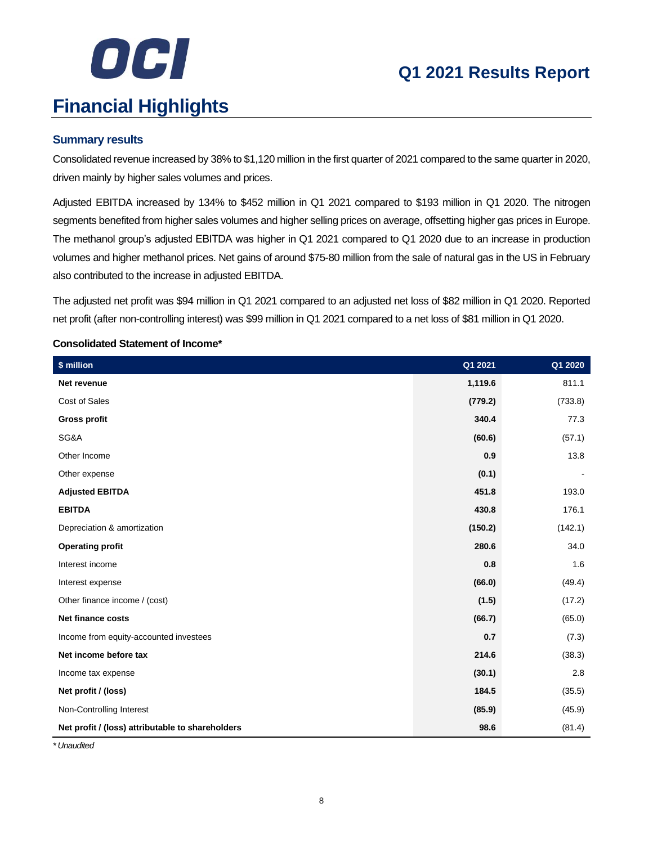# OCI **Financial Highlights**

## **Q1 2021 Results Report**

#### **Summary results**

Consolidated revenue increased by 38% to \$1,120 million in the first quarter of 2021 compared to the same quarter in 2020, driven mainly by higher sales volumes and prices.

Adjusted EBITDA increased by 134% to \$452 million in Q1 2021 compared to \$193 million in Q1 2020. The nitrogen segments benefited from higher sales volumes and higher selling prices on average, offsetting higher gas prices in Europe. The methanol group's adjusted EBITDA was higher in Q1 2021 compared to Q1 2020 due to an increase in production volumes and higher methanol prices. Net gains of around \$75-80 million from the sale of natural gas in the US in February also contributed to the increase in adjusted EBITDA.

The adjusted net profit was \$94 million in Q1 2021 compared to an adjusted net loss of \$82 million in Q1 2020. Reported net profit (after non-controlling interest) was \$99 million in Q1 2021 compared to a net loss of \$81 million in Q1 2020.

#### **Consolidated Statement of Income\***

| \$ million                                       | Q1 2021 | Q1 2020 |
|--------------------------------------------------|---------|---------|
| Net revenue                                      | 1,119.6 | 811.1   |
| Cost of Sales                                    | (779.2) | (733.8) |
| <b>Gross profit</b>                              | 340.4   | 77.3    |
| SG&A                                             | (60.6)  | (57.1)  |
| Other Income                                     | 0.9     | 13.8    |
| Other expense                                    | (0.1)   |         |
| <b>Adjusted EBITDA</b>                           | 451.8   | 193.0   |
| <b>EBITDA</b>                                    | 430.8   | 176.1   |
| Depreciation & amortization                      | (150.2) | (142.1) |
| <b>Operating profit</b>                          | 280.6   | 34.0    |
| Interest income                                  | 0.8     | 1.6     |
| Interest expense                                 | (66.0)  | (49.4)  |
| Other finance income / (cost)                    | (1.5)   | (17.2)  |
| <b>Net finance costs</b>                         | (66.7)  | (65.0)  |
| Income from equity-accounted investees           | 0.7     | (7.3)   |
| Net income before tax                            | 214.6   | (38.3)  |
| Income tax expense                               | (30.1)  | 2.8     |
| Net profit / (loss)                              | 184.5   | (35.5)  |
| Non-Controlling Interest                         | (85.9)  | (45.9)  |
| Net profit / (loss) attributable to shareholders | 98.6    | (81.4)  |

*\* Unaudited*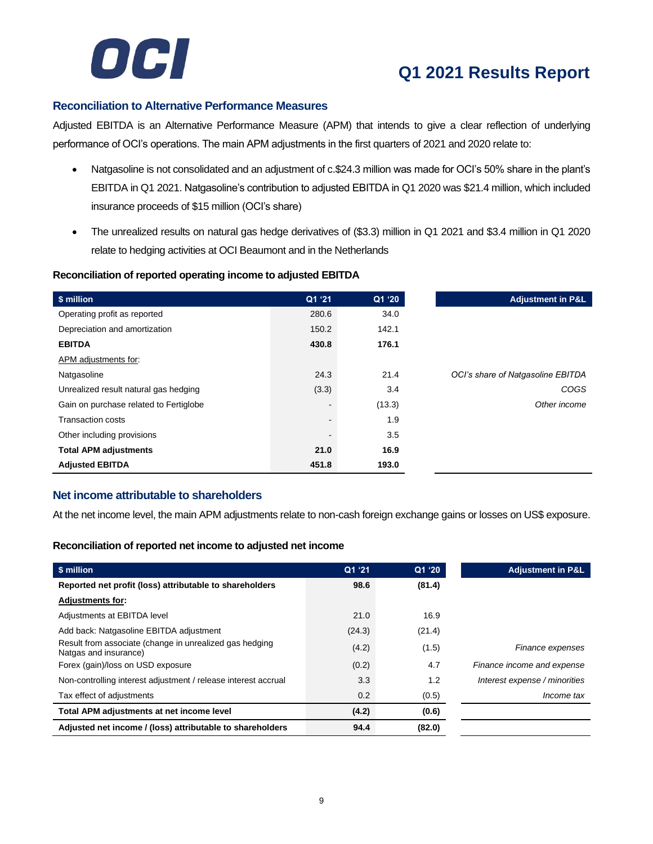

#### **Reconciliation to Alternative Performance Measures**

Adjusted EBITDA is an Alternative Performance Measure (APM) that intends to give a clear reflection of underlying performance of OCI's operations. The main APM adjustments in the first quarters of 2021 and 2020 relate to:

- Natgasoline is not consolidated and an adjustment of c.\$24.3 million was made for OCI's 50% share in the plant's EBITDA in Q1 2021. Natgasoline's contribution to adjusted EBITDA in Q1 2020 was \$21.4 million, which included insurance proceeds of \$15 million (OCI's share)
- The unrealized results on natural gas hedge derivatives of (\$3.3) million in Q1 2021 and \$3.4 million in Q1 2020 relate to hedging activities at OCI Beaumont and in the Netherlands

#### **Reconciliation of reported operating income to adjusted EBITDA**

| \$ million                             | Q1 '21         | Q1 '20 |
|----------------------------------------|----------------|--------|
| Operating profit as reported           | 280.6          | 34.0   |
| Depreciation and amortization          | 150.2          | 142.1  |
| <b>EBITDA</b>                          | 430.8          | 176.1  |
| APM adjustments for:                   |                |        |
| Natgasoline                            | 24.3           | 21.4   |
| Unrealized result natural gas hedging  | (3.3)          | 3.4    |
| Gain on purchase related to Fertiglobe | $\blacksquare$ | (13.3) |
| <b>Transaction costs</b>               | $\blacksquare$ | 1.9    |
| Other including provisions             | $\blacksquare$ | 3.5    |
| <b>Total APM adjustments</b>           | 21.0           | 16.9   |
| <b>Adjusted EBITDA</b>                 | 451.8          | 193.0  |

#### **Net income attributable to shareholders**

At the net income level, the main APM adjustments relate to non-cash foreign exchange gains or losses on US\$ exposure.

#### **Reconciliation of reported net income to adjusted net income**

| \$ million                                                                       | Q1 '21 | Q1 '20 | <b>Adjustment in P&amp;L</b>  |
|----------------------------------------------------------------------------------|--------|--------|-------------------------------|
| Reported net profit (loss) attributable to shareholders                          | 98.6   | (81.4) |                               |
| <b>Adjustments for:</b>                                                          |        |        |                               |
| Adjustments at EBITDA level                                                      | 21.0   | 16.9   |                               |
| Add back: Natgasoline EBITDA adjustment                                          | (24.3) | (21.4) |                               |
| Result from associate (change in unrealized gas hedging<br>Natgas and insurance) | (4.2)  | (1.5)  | Finance expenses              |
| Forex (gain)/loss on USD exposure                                                | (0.2)  | 4.7    | Finance income and expense    |
| Non-controlling interest adjustment / release interest accrual                   | 3.3    | 1.2    | Interest expense / minorities |
| Tax effect of adjustments                                                        | 0.2    | (0.5)  | <i>Income tax</i>             |
| Total APM adjustments at net income level                                        | (4.2)  | (0.6)  |                               |
| Adjusted net income / (loss) attributable to shareholders                        | 94.4   | (82.0) |                               |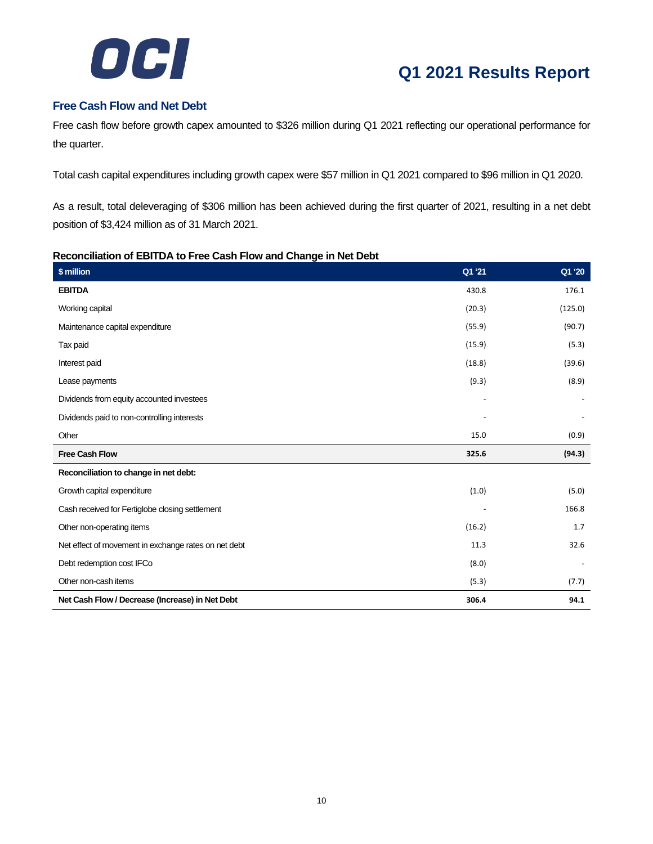

#### **Free Cash Flow and Net Debt**

Free cash flow before growth capex amounted to \$326 million during Q1 2021 reflecting our operational performance for the quarter.

Total cash capital expenditures including growth capex were \$57 million in Q1 2021 compared to \$96 million in Q1 2020.

As a result, total deleveraging of \$306 million has been achieved during the first quarter of 2021, resulting in a net debt position of \$3,424 million as of 31 March 2021.

#### **Reconciliation of EBITDA to Free Cash Flow and Change in Net Debt**

| \$ million                                           | Q1 '21 | Q1 '20  |
|------------------------------------------------------|--------|---------|
| <b>EBITDA</b>                                        | 430.8  | 176.1   |
| Working capital                                      | (20.3) | (125.0) |
| Maintenance capital expenditure                      | (55.9) | (90.7)  |
| Tax paid                                             | (15.9) | (5.3)   |
| Interest paid                                        | (18.8) | (39.6)  |
| Lease payments                                       | (9.3)  | (8.9)   |
| Dividends from equity accounted investees            |        |         |
| Dividends paid to non-controlling interests          |        |         |
| Other                                                | 15.0   | (0.9)   |
| <b>Free Cash Flow</b>                                | 325.6  | (94.3)  |
| Reconciliation to change in net debt:                |        |         |
| Growth capital expenditure                           | (1.0)  | (5.0)   |
| Cash received for Fertiglobe closing settlement      |        | 166.8   |
| Other non-operating items                            | (16.2) | 1.7     |
| Net effect of movement in exchange rates on net debt | 11.3   | 32.6    |
| Debt redemption cost IFCo                            | (8.0)  |         |
| Other non-cash items                                 | (5.3)  | (7.7)   |
| Net Cash Flow / Decrease (Increase) in Net Debt      | 306.4  | 94.1    |